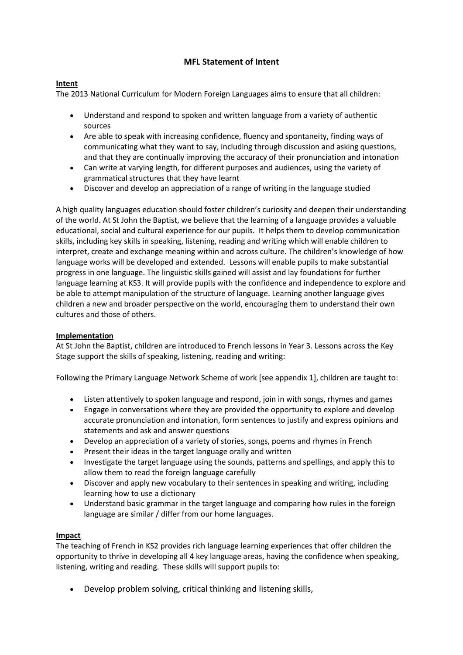## **MFL Statement of Intent**

## **Intent**

The 2013 National Curriculum for Modern Foreign Languages aims to ensure that all children:

- Understand and respond to spoken and written language from a variety of authentic sources
- Are able to speak with increasing confidence, fluency and spontaneity, finding ways of communicating what they want to say, including through discussion and asking questions, and that they are continually improving the accuracy of their pronunciation and intonation
- Can write at varying length, for different purposes and audiences, using the variety of grammatical structures that they have learnt
- Discover and develop an appreciation of a range of writing in the language studied

A high quality languages education should foster children's curiosity and deepen their understanding of the world. At St John the Baptist, we believe that the learning of a language provides a valuable educational, social and cultural experience for our pupils. It helps them to develop communication skills, including key skills in speaking, listening, reading and writing which will enable children to interpret, create and exchange meaning within and across culture. The children's knowledge of how language works will be developed and extended. Lessons will enable pupils to make substantial progress in one language. The linguistic skills gained will assist and lay foundations for further language learning at KS3. It will provide pupils with the confidence and independence to explore and be able to attempt manipulation of the structure of language. Learning another language gives children a new and broader perspective on the world, encouraging them to understand their own cultures and those of others.

## **Implementation**

At St John the Baptist, children are introduced to French lessons in Year 3. Lessons across the Key Stage support the skills of speaking, listening, reading and writing:

Following the Primary Language Network Scheme of work [see appendix 1], children are taught to:

- Listen attentively to spoken language and respond, join in with songs, rhymes and games
- Engage in conversations where they are provided the opportunity to explore and develop accurate pronunciation and intonation, form sentences to justify and express opinions and statements and ask and answer questions
- Develop an appreciation of a variety of stories, songs, poems and rhymes in French
- Present their ideas in the target language orally and written
- Investigate the target language using the sounds, patterns and spellings, and apply this to allow them to read the foreign language carefully
- Discover and apply new vocabulary to their sentences in speaking and writing, including learning how to use a dictionary
- Understand basic grammar in the target language and comparing how rules in the foreign language are similar / differ from our home languages.

## **Impact**

The teaching of French in KS2 provides rich language learning experiences that offer children the opportunity to thrive in developing all 4 key language areas, having the confidence when speaking, listening, writing and reading. These skills will support pupils to:

Develop problem solving, critical thinking and listening skills,